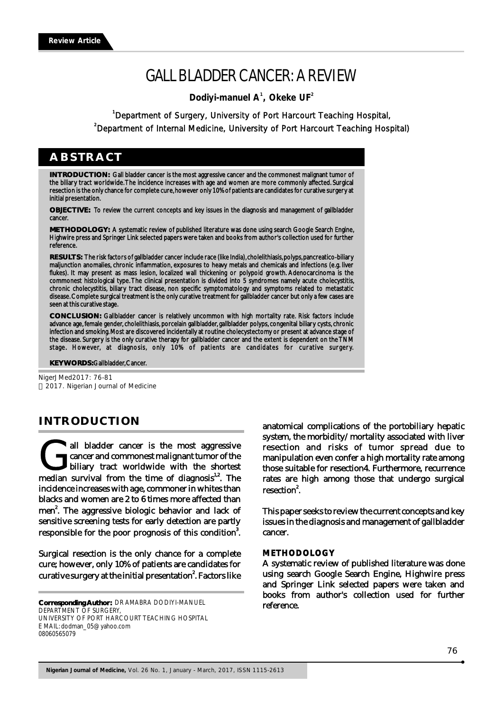# GALL BLADDER CANCER: A REVIEW

 **Dodiyi-manuel A , Okeke UF <sup>1</sup> <sup>2</sup>**

**1** Department of Surgery, University of Port Harcourt Teaching Hospital, **2** Department of Internal Medicine, University of Port Harcourt Teaching Hospital)

# **ABSTRACT**

**INTRODUCTION:** Gall bladder cancer is the most aggressive cancer and the commonest malignant tumor of the biliary tract worldwide. The incidence increases with age and women are more commonly affected. Surgical resection is the only chance for complete cure, however only 10% of patients are candidates for curative surgery at initial presentation.

**OBJECTIVE:** To review the current concepts and key issues in the diagnosis and management of gallbladder cancer.

**METHODOLOGY:** A systematic review of published literature was done using search Google Search Engine, Highwire press and Springer Link selected papers were taken and books from author's collection used for further reference.

**RESULTS:** The risk factors of gallbladder cancer include race (like India), cholelithiasis, polyps, pancreatico-biliary maljunction anomalies, chronic inflammation, exposures to heavy metals and chemicals and infections (e.g. liver flukes). It may present as mass lesion, localized wall thickening or polypoid growth. Adenocarcinoma is the commonest histological type. The clinical presentation is divided into 5 syndromes namely acute cholecystitis, chronic cholecystitis, biliary tract disease, non specific symptomatology and symptoms related to metastatic disease. Complete surgical treatment is the only curative treatment for gallbladder cancer but only a few cases are seen at this curative stage.

**CONCLUSION:** Gallbladder cancer is relatively uncommon with high mortality rate. Risk factors include advance age, female gender, cholelithiasis, porcelain gallbladder, gallbladder polyps, congenital biliary cysts, chronic infection and smoking. Most are discovered incidentally at routine cholecystectomy or present at advance stage of the disease. Surgery is the only curative therapy for gallbladder cancer and the extent is dependent on the TNM stage. However, at diagnosis, only 10% of patients are candidates for curative surgery.

**KEY WORDS:** Gallbladder, Cancer.

NigerJMed2017: 76-81 2017. Nigerian Journal of Medicine

# **INTRODUCTION**

all bladder cancer is the most aggressive cancer and commonest malignant tumor of the biliary tract worldwide with the shortest median survival from the time of diagnosis<sup>1,2</sup>. The biliary tract worldwide with the shortest incidence increases with age, commoner in whites than blacks and women are 2 to 6 times more affected than men<sup>2</sup>. The aggressive biologic behavior and lack of sensitive screening tests for early detection are partly responsible for the poor prognosis of this condition $\rlap{.}^3$ .

Surgical resection is the only chance for a complete cure; however, only 10% of patients are candidates for curative surgery at the initial presentation<sup>2</sup>. Factors like

**Corresponding Author:** DR AMABRA DODIYI-MANUEL DEPARTMENT OF SURGERY UNIVERSITY OF PORT HARCOURT TEACHING HOSPITAL E MAIL: dodman\_05@yahoo.com 08060565079

anatomical complications of the portobiliary hepatic system, the morbidity/mortality associated with liver resection and risks of tumor spread due to manipulation even confer a high mortality rate among those suitable for resection4. Furthermore, recurrence rates are high among those that undergo surgical resection<sup>2</sup>.

This paper seeks to review the current concepts and key issues in the diagnosis and management of gallbladder cancer.

#### **METHODOLOGY**

A systematic review of published literature was done using search Google Search Engine, Highwire press and Springer Link selected papers were taken and books from author's collection used for further reference.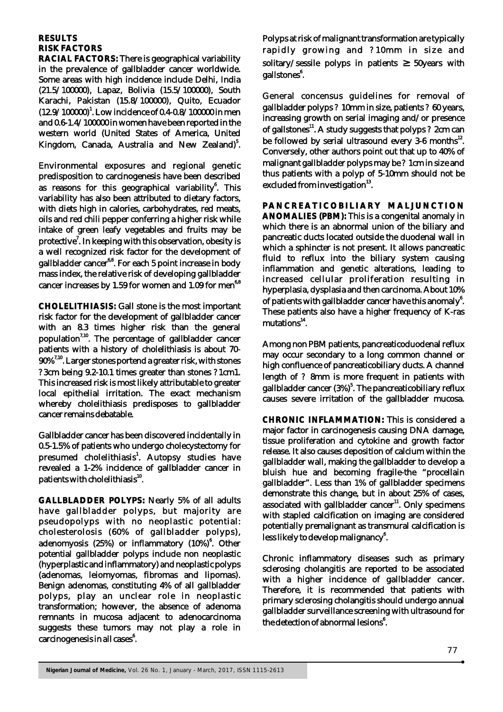# **RESULTS RISK FACTORS**

**RACIAL FACTORS:** There is geographical variability in the prevalence of gallbladder cancer worldwide. Some areas with high incidence include Delhi, India (21.5/100000), Lapaz, Bolivia (15.5/100000), South Karachi, Pakistan (15.8/100000), Quito, Ecuador (12.9/100000)<sup>1</sup>. Low incidence of 0.4-0.8/100000 in men and 0.6-1.4/100000 in women have been reported in the western world (United States of America, United Kingdom, Canada, Australia and New Zealand)<sup>5</sup>.

Environmental exposures and regional genetic predisposition to carcinogenesis have been described as reasons for this geographical variability<sup>6</sup>. This variability has also been attributed to dietary factors, with diets high in calories, carbohydrates, red meats, oils and red chili pepper conferring a higher risk while intake of green leafy vegetables and fruits may be protective $\cdot'$ . In keeping with this observation, obesity is a well recognized risk factor for the development of gallbladder cancer<sup>6,8</sup>. For each 5 point increase in body mass index, the relative risk of developing gallbladder cancer increases by 1.59 for women and 1.09 for men<sup>6,8</sup>

**CHOLELITHIASIS:** Gall stone is the most important risk factor for the development of gallbladder cancer with an 8.3 times higher risk than the general population<sup>7,10</sup>. The percentage of gallbladder cancer patients with a history of cholelithiasis is about 70-  $90\%$ <sup>7,10</sup>. Larger stones portend a greater risk, with stones ? 3cm being 9.2-10.1 times greater than stones ? 1cm1. This increased risk is most likely attributable to greater local epithelial irritation. The exact mechanism whereby cholelithiasis predisposes to gallbladder cancer remains debatable.

Gallbladder cancer has been discovered incidentally in 0.5-1.5% of patients who undergo cholecystectomy for presumed cholelithiasis<sup>1</sup>. Autopsy studies have revealed a 1-2% incidence of gallbladder cancer in patients with cholelithiasis $^{10}$ .

**GALLBLADDER POLYPS:** Nearly 5% of all adults have gallbladder polyps, but majority are pseudopolyps with no neoplastic potential: cholesterolosis (60% of gallbladder polyps), adenomyosis (25%) or inflammatory (10%)<sup>6</sup>. Other potential gallbladder polyps include non neoplastic (hyperplastic and inflammatory) and neoplastic polyps (adenomas, leiomyomas, fibromas and lipomas). Benign adenomas, constituting 4% of all gallbladder polyps, play an unclear role in neoplastic transformation; however, the absence of adenoma remnants in mucosa adjacent to adenocarcinoma suggests these tumors may not play a role in carcinogenesis in all cases<sup>6</sup>.

Polyps at risk of malignant transformation are typically rapidly growing and ? 10mm in size and solitary/sessile polyps in patients 50years with gallstones<sup>6</sup>.

General concensus guidelines for removal of gallbladder polyps ? 10mm in size, patients ? 60 years, increasing growth on serial imaging and/or presence of gallstones<sup>11</sup>. A study suggests that polyps ? 2cm can be followed by serial ultrasound every  $3-6$  months $^{12}$ . Conversely, other authors point out that up to 40% of malignant gallbladder polyps may be ? 1cm in size and thus patients with a polyp of 5-10mm should not be excluded from investigation $^{13}$ .

**PANCREATICOBILIARY MALJUNCTION ANOMALIES (PBM):** This is a congenital anomaly in which there is an abnormal union of the biliary and pancreatic ducts located outside the duodenal wall in which a sphincter is not present. It allows pancreatic fluid to reflux into the biliary system causing inflammation and genetic alterations, leading to increased cellular proliferation resulting in hyperplasia, dysplasia and then carcinoma. About 10% of patients with gallbladder cancer have this anomaly<sup>6</sup>. These patients also have a higher frequency of K-ras mutations<sup>14</sup>.

Among non PBM patients, pancreaticoduodenal reflux may occur secondary to a long common channel or high confluence of pancreaticobiliary ducts. A channel length of ? 8mm is more frequent in patients with gallbladder cancer (3%)<sup>5</sup>. The pancreaticobiliary reflux causes severe irritation of the gallbladder mucosa.

**CHRONIC INFLAMMATION:** This is considered a major factor in carcinogenesis causing DNA damage, tissue proliferation and cytokine and growth factor release. It also causes deposition of calcium within the gallbladder wall, making the gallbladder to develop a bluish hue and becoming fragile-the "procellain gallbladder". Less than 1% of gallbladder specimens demonstrate this change, but in about 25% of cases, associated with gallbladder cancer<sup>11</sup>. Only specimens with stapled calcification on imaging are considered potentially premalignant as transmural calcification is less likely to develop malignancy<sup>6</sup>.

Chronic inflammatory diseases such as primary sclerosing cholangitis are reported to be associated with a higher incidence of gallbladder cancer. Therefore, it is recommended that patients with primary sclerosing cholangitis should undergo annual gallbladder surveillance screening with ultrasound for the detection of abnormal lesions<sup>6</sup>.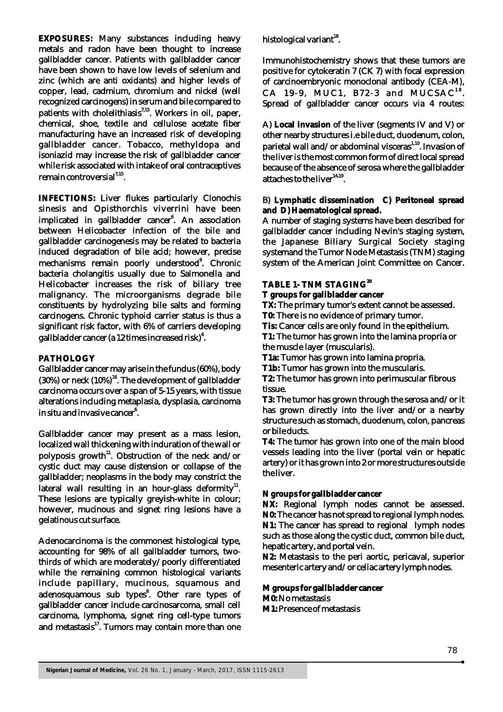**EXPOSURES:** Many substances including heavy metals and radon have been thought to increase gallbladder cancer. Patients with gallbladder cancer have been shown to have low levels of selenium and zinc (which are anti oxidants) and higher levels of copper, lead, cadmium, chromium and nickel (well recognized carcinogens) in serum and bile compared to  $7.15$  patients with cholelithiasis<sup>7,15</sup>. Workers in oil, paper, chemical, shoe, textile and cellulose acetate fiber manufacturing have an increased risk of developing gallbladder cancer. Tobacco, methyldopa and isoniazid may increase the risk of gallbladder cancer while risk associated with intake of oral contraceptives remain controversial $^{7,15}$ .

**INFECTIONS:** Liver flukes particularly Clonochis sinesis and Opisthorchis viverrini have been implicated in gallbladder cancer<sup>6</sup>. An association between Helicobacter infection of the bile and gallbladder carcinogenesis may be related to bacteria induced degradation of bile acid; however, precise mechanisms remain poorly understood<sup>9</sup>. Chronic bacteria cholangitis usually due to Salmonella and Helicobacter increases the risk of biliary tree malignancy. The microorganisms degrade bile constituents by hydrolyzing bile salts and forming carcinogens. Chronic typhoid carrier status is thus a significant risk factor, with 6% of carriers developing gallbladder cancer (a 12 times increased risk) $^{\rm 6}$ .

## **PATHOLOGY**

Gallbladder cancer may arise in the fundus (60%), body  $(30%)$  or neck  $(10%)$ <sup>16</sup>. The development of gallbladder carcinoma occurs over a span of 5-15 years, with tissue alterations including metaplasia, dysplasia, carcinoma in situ and invasive cancer<sup>6</sup>.

Gallbladder cancer may present as a mass lesion, localized wall thickening with induration of the wall or polyposis growth<sup>11</sup>. Obstruction of the neck and/or cystic duct may cause distension or collapse of the gallbladder; neoplasms in the body may constrict the lateral wall resulting in an hour-glass deformity<sup>11</sup>. These lesions are typically greyish-white in colour; however, mucinous and signet ring lesions have a gelatinous cut surface.

Adenocarcinoma is the commonest histological type, accounting for 98% of all gallbladder tumors, twothirds of which are moderately/poorly differentiated while the remaining common histological variants include papillary, mucinous, squamous and adenosquamous sub types<sup>6</sup>. Other rare types of gallbladder cancer include carcinosarcoma, small cell carcinoma, lymphoma, signet ring cell-type tumors and metastasis $17$ . Tumors may contain more than one

histological variant $^{18}$ .

Immunohistochemistry shows that these tumors are positive for cytokeratin 7 (CK 7) with focal expression of carcinoembryonic monoclonal antibody (CEA-M),  $CA$  19-9, MUC1, B72-3 and MUCSAC<sup>18</sup>. Spread of gallbladder cancer occurs via 4 routes:

A) **Local invasion** of the liver (segments IV and V) or other nearby structures i.e bile duct, duodenum, colon, parietal wall and/or abdominal visceras<sup>1,10</sup>. Invasion of the liver is the most common form of direct local spread because of the absence of serosa where the gallbladder attaches to the liver $14,19$ .

B) **Lymphatic dissemination C) Peritoneal spread and D) Haematological spread.**

A number of staging systems have been described for gallbladder cancer including Nevin's staging system, the Japanese Biliary Surgical Society staging systemand the Tumor Node Metastasis (TNM) staging system of the American Joint Committee on Cancer.

**<sup>20</sup> TABLE 1- TNM STAGING**

**T groups for gallbladder cancer**

**TX:** The primary tumor's extent cannot be assessed.

**T0:** There is no evidence of primary tumor.

**Tis:** Cancer cells are only found in the epithelium.

**T1:** The tumor has grown into the lamina propria or the muscle layer (muscularis).

**T1a:** Tumor has grown into lamina propria.

**T1b:** Tumor has grown into the muscularis.

**T2:** The tumor has grown into perimuscular fibrous tissue.

**T3:** The tumor has grown through the serosa and/or it has grown directly into the liver and/or a nearby structure such as stomach, duodenum, colon, pancreas or bile ducts.

**T4:** The tumor has grown into one of the main blood vessels leading into the liver (portal vein or hepatic artery) or it has grown into 2 or more structures outside the liver.

## **N groups for gallbladder cancer**

**NX:** Regional lymph nodes cannot be assessed. **N0:** The cancer has not spread to regional lymph nodes. **N1:** The cancer has spread to regional lymph nodes such as those along the cystic duct, common bile duct, hepatic artery, and portal vein.

**N2:** Metastasis to the peri aortic, pericaval, superior mesenteric artery and/or celiac artery lymph nodes.

**M groups for gallbladder cancer M0:** No metastasis **M1:** Presence of metastasis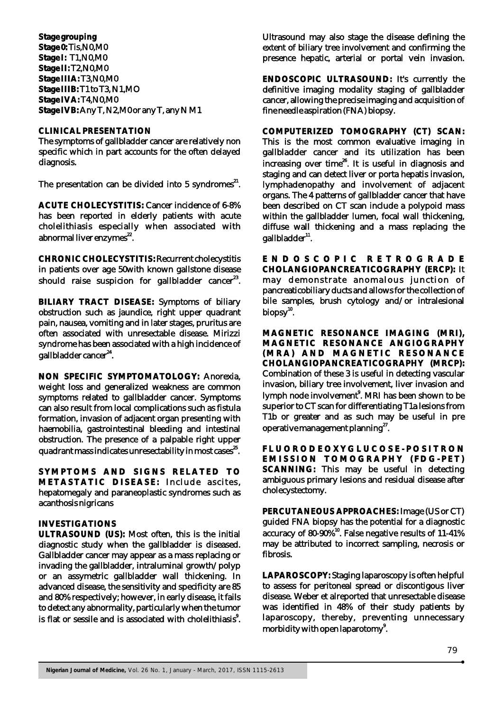**Stage grouping Stage 0:** Tis,N0,M0 **Stage I:** T1,N0,M0 **Stage II:** T2,N0,M0 **Stage IIIA:** T3,N0,M0 **Stage IIIB:** T1 to T3, N1,MO **Stage IVA:** T4,N0,M0 **Stage IVB:** Any T, N2,M0 or any T, any N M1

#### **CLINICAL PRESENTATION**

The symptoms of gallbladder cancer are relatively non specific which in part accounts for the often delayed diagnosis.

The presentation can be divided into 5 syndromes<sup>21</sup>.

**ACUTE CHOLECYSTITIS:** Cancer incidence of 6-8% has been reported in elderly patients with acute cholelithiasis especially when associated with abnormal liver enzymes<sup>22</sup>.

**CHRONIC CHOLECYSTITIS:** Recurrent cholecystitis in patients over age 50with known gallstone disease should raise suspicion for gallbladder cancer $^{23}.$ 

**BILIARY TRACT DISEASE:** Symptoms of biliary obstruction such as jaundice, right upper quadrant pain, nausea, vomiting and in later stages, pruritus are often associated with unresectable disease. Mirizzi syndrome has been associated with a high incidence of gallbladder cancer<sup>24</sup>.

**NON SPECIFIC SYMPTOMATOLOGY:** Anorexia, weight loss and generalized weakness are common symptoms related to gallbladder cancer. Symptoms can also result from local complications such as fistula formation, invasion of adjacent organ presenting with haemobilia, gastrointestinal bleeding and intestinal obstruction. The presence of a palpable right upper quadrant mass indicates unresectability in most cases<sup>25</sup>.

**SYMPTOMS AND SIGNS RELATED TO METASTATIC DISEASE: Include ascites.** hepatomegaly and paraneoplastic syndromes such as acanthosis nigricans

#### **INVESTIGATIONS**

**ULTRASOUND (US):** Most often, this is the initial diagnostic study when the gallbladder is diseased. Gallbladder cancer may appear as a mass replacing or invading the gallbladder, intraluminal growth/polyp or an assymetric gallbladder wall thickening. In advanced disease, the sensitivity and specificity are 85 and 80% respectively; however, in early disease, it fails to detect any abnormality, particularly when the tumor is flat or sessile and is associated with cholelithiasis $^{\circ}$ . Ultrasound may also stage the disease defining the extent of biliary tree involvement and confirming the presence hepatic, arterial or portal vein invasion.

**ENDOSCOPIC ULTRASOUND:** It's currently the definitive imaging modality staging of gallbladder cancer, allowing the precise imaging and acquisition of fine needle aspiration (FNA) biopsy.

**COMPUTERIZED TOMOGRAPHY (CT) SCAN:** This is the most common evaluative imaging in gallbladder cancer and its utilization has been increasing over time $^{26}$ . It is useful in diagnosis and staging and can detect liver or porta hepatis invasion, lymphadenopathy and involvement of adjacent organs. The 4 patterns of gallbladder cancer that have been described on CT scan include a polypoid mass within the gallbladder lumen, focal wall thickening, diffuse wall thickening and a mass replacing the  $\boldsymbol{\mathsf{g}}$ allbladder $^{11}$ .

**E N D O S C O P I C R E T R O G R A D E CHOLANGIOPANCREATICOGRAPHY (ERCP):** It may demonstrate anomalous junction of pancreaticobiliary ducts and allows for the collection of bile samples, brush cytology and/or intralesional  $biopsv<sup>10</sup>$ .

**MAGNETIC RESONANCE IMAGING (MRI), MAGNETIC RESONANCE ANGIOGRAPHY (MRA) A N D MA G N ETI C R ES O N A N C E CHOLANGIOPANCREATICOGRAPHY (MRCP):**  Combination of these 3 is useful in detecting vascular invasion, biliary tree involvement, liver invasion and lymph node involvement<sup>8</sup>. MRI has been shown to be superior to CT scan for differentiating T1a lesions from T1b or greater and as such may be useful in pre operative management planning $^{27}$ .

FLUORODEOXYGLUCOSE-POSITRON **EMI S S I O N T OMO G R A P H Y (F D G - P ET) SCANNING:** This may be useful in detecting ambiguous primary lesions and residual disease after cholecystectomy.

**PERCUTANEOUS APPROACHES:** Image (US or CT) guided FNA biopsy has the potential for a diagnostic accuracy of 80-90%<sup>10</sup>. False negative results of 11-41% may be attributed to incorrect sampling, necrosis or fibrosis.

**LAPAROSCOPY:** Staging laparoscopy is often helpful to assess for peritoneal spread or discontigous liver disease. Weber et alreported that unresectable disease was identified in 48% of their study patients by laparoscopy, thereby, preventing unnecessary morbidity with open laparotomy<sup>9</sup>.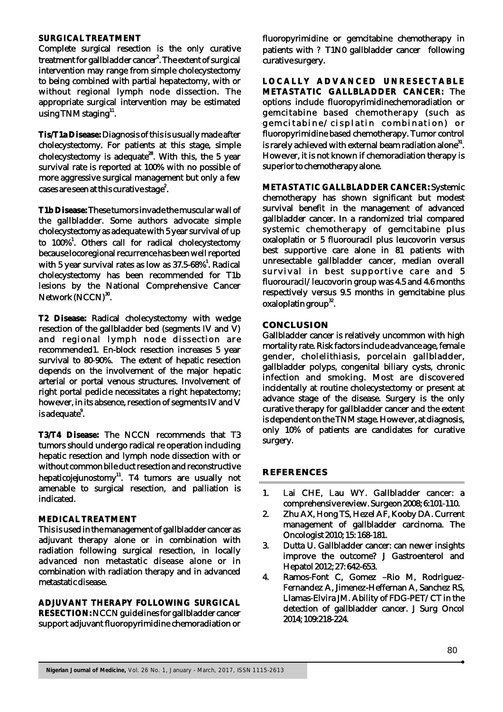#### **SURGICAL TREATMENT**

Complete surgical resection is the only curative treatment for gallbladder cancer<sup>2</sup>. The extent of surgical intervention may range from simple cholecystectomy to being combined with partial hepatectomy, with or without regional lymph node dissection. The appropriate surgical intervention may be estimated using TNM staging $^{11}$ .

**Tis/T1a Disease:** Diagnosis of this is usually made after cholecystectomy. For patients at this stage, simple cholecystectomy is adequate<sup>28</sup>. With this, the 5 year survival rate is reported at 100% with no possible of more aggressive surgical management but only a few cases are seen at this curative stage $\rlap{2}^{2}.$ 

**T1b Disease:** These tumors invade the muscular wall of the gallbladder. Some authors advocate simple cholecystectomy as adequate with 5 year survival of up to 100%<sup>1</sup>. Others call for radical cholecystectomy because locoregional recurrence has been well reported with 5 year survival rates as low as  $37.5$ -68%<sup>1</sup>. Radical cholecystectomy has been recommended for T1b lesions by the National Comprehensive Cancer Network (NCCN)<sup>30</sup>.

**T2 Disease:** Radical cholecystectomy with wedge resection of the gallbladder bed (segments IV and  $\breve{V}$ ) and regional lymph node dissection are recommended1. En-block resection increases 5 year survival to 80-90%. The extent of hepatic resection depends on the involvement of the major hepatic arterial or portal venous structures. Involvement of right portal pedicle necessitates a right hepatectomy; however, in its absence, resection of segments IV and V is adequate<sup>8</sup>.

**T3/T4 Disease:** The NCCN recommends that T3 tumors should undergo radical re operation including hepatic resection and lymph node dissection with or without common bile duct resection and reconstructive hepaticojejunostomy $11$ . T4 tumors are usually not amenable to surgical resection, and palliation is indicated.

## **MEDICAL TREATMENT**

This is used in the management of gallbladder cancer as adjuvant therapy alone or in combination with radiation following surgical resection, in locally advanced non metastatic disease alone or in combination with radiation therapy and in advanced metastatic disease.

**ADJUVANT THERAPY FOLLOWING SURGICAL RESECTION:** NCCN guidelines for gallbladder cancer support adjuvant fluoropyrimidine chemoradiation or fluoropyrimidine or gemcitabine chemotherapy in patients with ? T1N0 gallbladder cancer following curative surgery.

**LOCALLY ADVANCED UNRESECTABLE METASTATIC GALLBLADDER CANCER:** The options include fluoropyrimidinechemoradiation or gemcitabine based chemotherapy (such as gemcitabine/cisplatin combination) or fluoropyrimidine based chemotherapy. Tumor control is rarely achieved with external beam radiation alone  $31$ . However, it is not known if chemoradiation therapy is superior to chemotherapy alone.

**METASTATIC GALLBLADDER CANCER:** Systemic chemotherapy has shown significant but modest survival benefit in the management of advanced gallbladder cancer. In a randomized trial compared systemic chemotherapy of gemcitabine plus oxaloplatin or 5 fluorouracil plus leucovorin versus best supportive care alone in 81 patients with unresectable gallbladder cancer, median overall survival in best supportive care and 5 fluorouracil/leucovorin group was 4.5 and 4.6 months respectively versus 9.5 months in gemcitabine plus  $\alpha$ xaloplatin group<sup>32</sup>.

# **CONCLUSION**

Gallbladder cancer is relatively uncommon with high mortality rate. Risk factors include advance age, female gender, cholelithiasis, porcelain gallbladder, gallbladder polyps, congenital biliary cysts, chronic infection and smoking. Most are discovered incidentally at routine cholecystectomy or present at advance stage of the disease. Surgery is the only curative therapy for gallbladder cancer and the extent is dependent on the TNM stage. However, at diagnosis, only 10% of patients are candidates for curative surgery.

# **REFERENCES**

- 1. Lai CHE, Lau WY. Gallbladder cancer: a comprehensive review. Surgeon 2008; 6:101-110.
- 2. Zhu AX, Hong TS, Hezel AF, Kooby DA. Current management of gallbladder carcinoma. The Oncologist 2010; 15: 168-181.
- 3. Dutta U. Gallbladder cancer: can newer insights improve the outcome? J Gastroenterol and Hepatol 2012; 27: 642-653.
- 4. Ramos-Font C, Gomez –Rio M, Rodriguez-Fernandez A, Jimenez-Heffernan A, Sanchez RS, Llamas-Elvira JM. Ability of FDG-PET/CT in the detection of gallbladder cancer. J Surg Oncol 2014; 109:218-224.